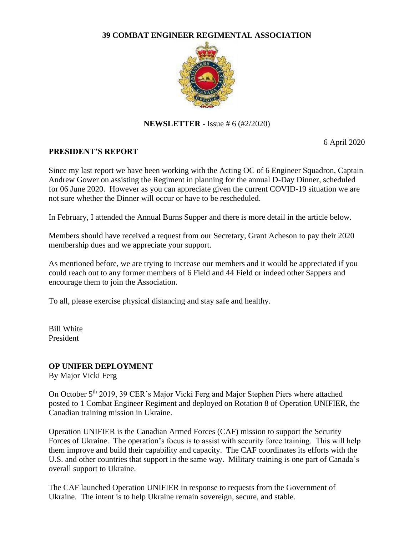#### **39 COMBAT ENGINEER REGIMENTAL ASSOCIATION**



**NEWSLETTER -** Issue # 6 (#2/2020)

6 April 2020

## **PRESIDENT'S REPORT**

Since my last report we have been working with the Acting OC of 6 Engineer Squadron, Captain Andrew Gower on assisting the Regiment in planning for the annual D-Day Dinner, scheduled for 06 June 2020. However as you can appreciate given the current COVID-19 situation we are not sure whether the Dinner will occur or have to be rescheduled.

In February, I attended the Annual Burns Supper and there is more detail in the article below.

Members should have received a request from our Secretary, Grant Acheson to pay their 2020 membership dues and we appreciate your support.

As mentioned before, we are trying to increase our members and it would be appreciated if you could reach out to any former members of 6 Field and 44 Field or indeed other Sappers and encourage them to join the Association.

To all, please exercise physical distancing and stay safe and healthy.

Bill White President

# **OP UNIFER DEPLOYMENT**

By Major Vicki Ferg

On October 5<sup>th</sup> 2019, 39 CER's Major Vicki Ferg and Major Stephen Piers where attached posted to 1 Combat Engineer Regiment and deployed on Rotation 8 of Operation UNIFIER, the Canadian training mission in Ukraine.

Operation UNIFIER is the Canadian Armed Forces (CAF) mission to support the Security Forces of Ukraine. The operation's focus is to assist with security force training. This will help them improve and build their capability and capacity. The CAF coordinates its efforts with the U.S. and other countries that support in the same way. Military training is one part of Canada's overall support to Ukraine.

The CAF launched Operation UNIFIER in response to requests from the Government of Ukraine. The intent is to help Ukraine remain sovereign, secure, and stable.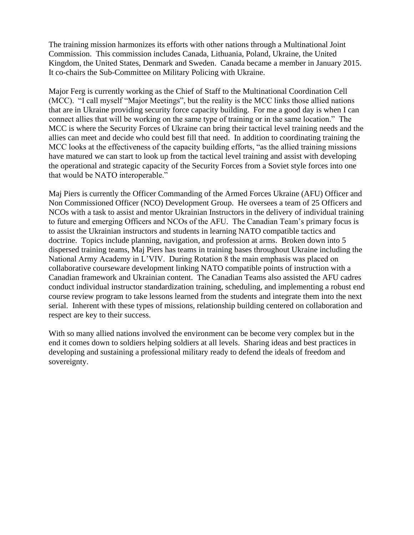The training mission harmonizes its efforts with other nations through a Multinational Joint Commission. This commission includes Canada, Lithuania, Poland, Ukraine, the United Kingdom, the United States, Denmark and Sweden. Canada became a member in January 2015. It co-chairs the Sub-Committee on Military Policing with Ukraine.

Major Ferg is currently working as the Chief of Staff to the Multinational Coordination Cell (MCC). "I call myself "Major Meetings", but the reality is the MCC links those allied nations that are in Ukraine providing security force capacity building. For me a good day is when I can connect allies that will be working on the same type of training or in the same location." The MCC is where the Security Forces of Ukraine can bring their tactical level training needs and the allies can meet and decide who could best fill that need. In addition to coordinating training the MCC looks at the effectiveness of the capacity building efforts, "as the allied training missions have matured we can start to look up from the tactical level training and assist with developing the operational and strategic capacity of the Security Forces from a Soviet style forces into one that would be NATO interoperable."

Maj Piers is currently the Officer Commanding of the Armed Forces Ukraine (AFU) Officer and Non Commissioned Officer (NCO) Development Group. He oversees a team of 25 Officers and NCOs with a task to assist and mentor Ukrainian Instructors in the delivery of individual training to future and emerging Officers and NCOs of the AFU. The Canadian Team's primary focus is to assist the Ukrainian instructors and students in learning NATO compatible tactics and doctrine. Topics include planning, navigation, and profession at arms. Broken down into 5 dispersed training teams, Maj Piers has teams in training bases throughout Ukraine including the National Army Academy in L'VIV. During Rotation 8 the main emphasis was placed on collaborative courseware development linking NATO compatible points of instruction with a Canadian framework and Ukrainian content. The Canadian Teams also assisted the AFU cadres conduct individual instructor standardization training, scheduling, and implementing a robust end course review program to take lessons learned from the students and integrate them into the next serial. Inherent with these types of missions, relationship building centered on collaboration and respect are key to their success.

With so many allied nations involved the environment can be become very complex but in the end it comes down to soldiers helping soldiers at all levels. Sharing ideas and best practices in developing and sustaining a professional military ready to defend the ideals of freedom and sovereignty.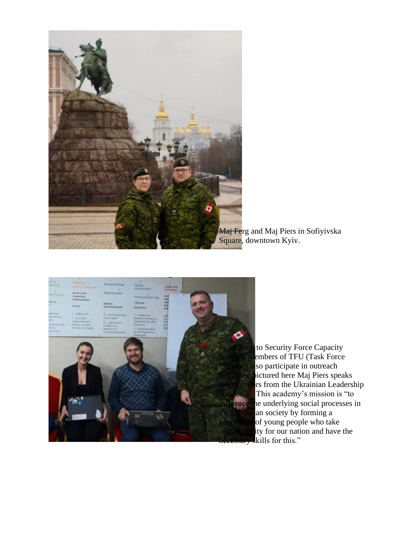

Maj Ferg and Maj Piers in Sofiyivska Square, downtown Kyiv.



to Security Force Capacity embers of TFU (Task Force Ukraine) also participate in outreach activities; pictured here Maj Piers speaks rs from the Ukrainian Leadership This academy's mission is "to  $\frac{1}{2}$ ence the underlying social processes in the Ukrain an society by forming a generation of young people who take responsibility for our nation and have the  $\ddot{\text{skills}}$  for this."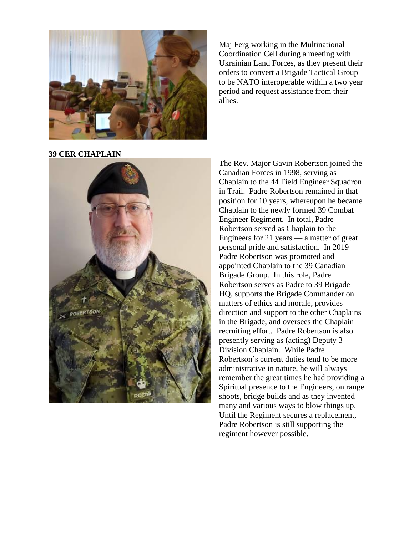

Maj Ferg working in the Multinational Coordination Cell during a meeting with Ukrainian Land Forces, as they present their orders to convert a Brigade Tactical Group to be NATO interoperable within a two year period and request assistance from their allies.

**39 CER CHAPLAIN**



The Rev. Major Gavin Robertson joined the Canadian Forces in 1998, serving as Chaplain to the 44 Field Engineer Squadron in Trail. Padre Robertson remained in that position for 10 years, whereupon he became Chaplain to the newly formed 39 Combat Engineer Regiment. In total, Padre Robertson served as Chaplain to the Engineers for 21 years — a matter of great personal pride and satisfaction. In 2019 Padre Robertson was promoted and appointed Chaplain to the 39 Canadian Brigade Group. In this role, Padre Robertson serves as Padre to 39 Brigade HQ, supports the Brigade Commander on matters of ethics and morale, provides direction and support to the other Chaplains in the Brigade, and oversees the Chaplain recruiting effort. Padre Robertson is also presently serving as (acting) Deputy 3 Division Chaplain. While Padre Robertson's current duties tend to be more administrative in nature, he will always remember the great times he had providing a Spiritual presence to the Engineers, on range shoots, bridge builds and as they invented many and various ways to blow things up. Until the Regiment secures a replacement, Padre Robertson is still supporting the regiment however possible.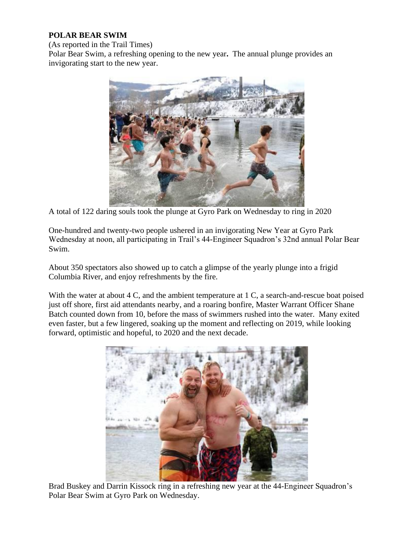# **POLAR BEAR SWIM**

(As reported in the Trail Times)

Polar Bear Swim, a refreshing opening to the new year**.** The annual plunge provides an invigorating start to the new year.



A total of 122 daring souls took the plunge at Gyro Park on Wednesday to ring in 2020

One-hundred and twenty-two people ushered in an invigorating New Year at Gyro Park Wednesday at noon, all participating in Trail's 44-Engineer Squadron's 32nd annual Polar Bear Swim.

About 350 spectators also showed up to catch a glimpse of the yearly plunge into a frigid Columbia River, and enjoy refreshments by the fire.

With the water at about 4 C, and the ambient temperature at 1 C, a search-and-rescue boat poised just off shore, first aid attendants nearby, and a roaring bonfire, Master Warrant Officer Shane Batch counted down from 10, before the mass of swimmers rushed into the water. Many exited even faster, but a few lingered, soaking up the moment and reflecting on 2019, while looking forward, optimistic and hopeful, to 2020 and the next decade.



Brad Buskey and Darrin Kissock ring in a refreshing new year at the 44-Engineer Squadron's Polar Bear Swim at Gyro Park on Wednesday.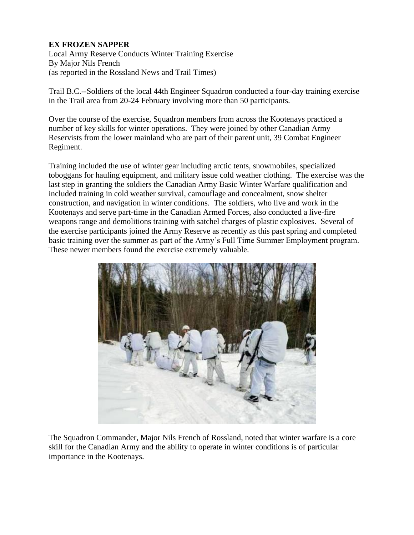# **EX FROZEN SAPPER**

Local Army Reserve Conducts Winter Training Exercise By Major Nils French (as reported in the Rossland News and Trail Times)

Trail B.C.--Soldiers of the local 44th Engineer Squadron conducted a four-day training exercise in the Trail area from 20-24 February involving more than 50 participants.

Over the course of the exercise, Squadron members from across the Kootenays practiced a number of key skills for winter operations. They were joined by other Canadian Army Reservists from the lower mainland who are part of their parent unit, 39 Combat Engineer Regiment.

Training included the use of winter gear including arctic tents, snowmobiles, specialized toboggans for hauling equipment, and military issue cold weather clothing. The exercise was the last step in granting the soldiers the Canadian Army Basic Winter Warfare qualification and included training in cold weather survival, camouflage and concealment, snow shelter construction, and navigation in winter conditions. The soldiers, who live and work in the Kootenays and serve part-time in the Canadian Armed Forces, also conducted a live-fire weapons range and demolitions training with satchel charges of plastic explosives. Several of the exercise participants joined the Army Reserve as recently as this past spring and completed basic training over the summer as part of the Army's Full Time Summer Employment program. These newer members found the exercise extremely valuable.



The Squadron Commander, Major Nils French of Rossland, noted that winter warfare is a core skill for the Canadian Army and the ability to operate in winter conditions is of particular importance in the Kootenays.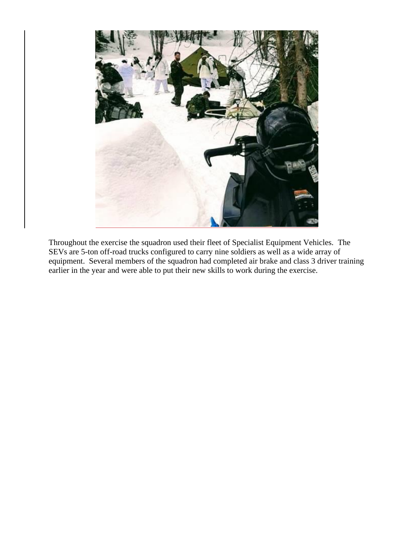

Throughout the exercise the squadron used their fleet of Specialist Equipment Vehicles. The SEVs are 5-ton off-road trucks configured to carry nine soldiers as well as a wide array of equipment. Several members of the squadron had completed air brake and class 3 driver training earlier in the year and were able to put their new skills to work during the exercise.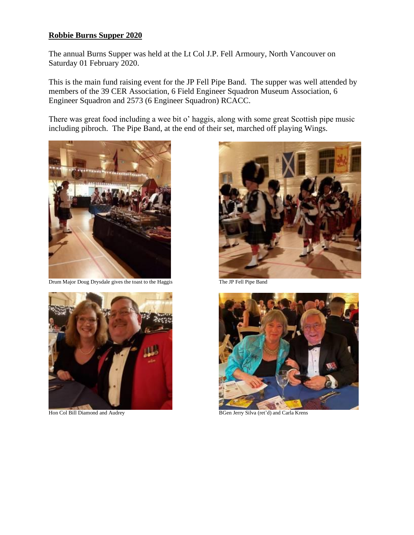#### **Robbie Burns Supper 2020**

The annual Burns Supper was held at the Lt Col J.P. Fell Armoury, North Vancouver on Saturday 01 February 2020.

This is the main fund raising event for the JP Fell Pipe Band. The supper was well attended by members of the 39 CER Association, 6 Field Engineer Squadron Museum Association, 6 Engineer Squadron and 2573 (6 Engineer Squadron) RCACC.

There was great food including a wee bit o' haggis, along with some great Scottish pipe music including pibroch. The Pipe Band, at the end of their set, marched off playing Wings.



Drum Major Doug Drysdale gives the toast to the Haggis The JP Fell Pipe Band







Hon Col Bill Diamond and Audrey BGen Jerry Silva (ret'd) and Carla Krens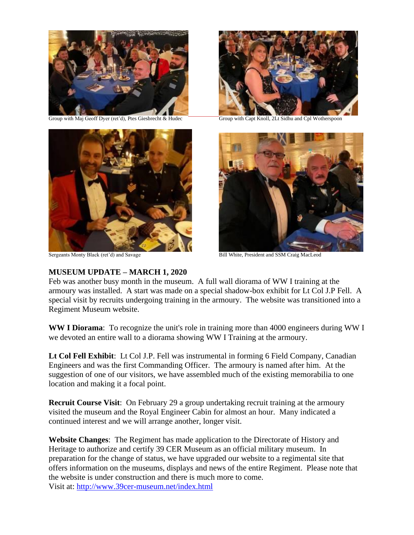

Group with Maj Geoff Dyer (ret'd), Ptes Giesbrecht & Hudec Group with Capt Knoll, 2Lt Sidhu and Cpl Wotherspoon







Sergeants Monty Black (ret'd) and Savage Bill White, President and SSM Craig MacLeod

#### **MUSEUM UPDATE – MARCH 1, 2020**

Feb was another busy month in the museum. A full wall diorama of WW I training at the armoury was installed. A start was made on a special shadow-box exhibit for Lt Col J.P Fell. A special visit by recruits undergoing training in the armoury. The website was transitioned into a Regiment Museum website.

**WW I Diorama**: To recognize the unit's role in training more than 4000 engineers during WW I we devoted an entire wall to a diorama showing WW I Training at the armoury.

**Lt Col Fell Exhibit**: Lt Col J.P. Fell was instrumental in forming 6 Field Company, Canadian Engineers and was the first Commanding Officer. The armoury is named after him. At the suggestion of one of our visitors, we have assembled much of the existing memorabilia to one location and making it a focal point.

**Recruit Course Visit:** On February 29 a group undertaking recruit training at the armoury visited the museum and the Royal Engineer Cabin for almost an hour. Many indicated a continued interest and we will arrange another, longer visit.

**Website Changes**: The Regiment has made application to the Directorate of History and Heritage to authorize and certify 39 CER Museum as an official military museum. In preparation for the change of status, we have upgraded our website to a regimental site that offers information on the museums, displays and news of the entire Regiment. Please note that the website is under construction and there is much more to come. Visit at:<http://www.39cer-museum.net/index.html>